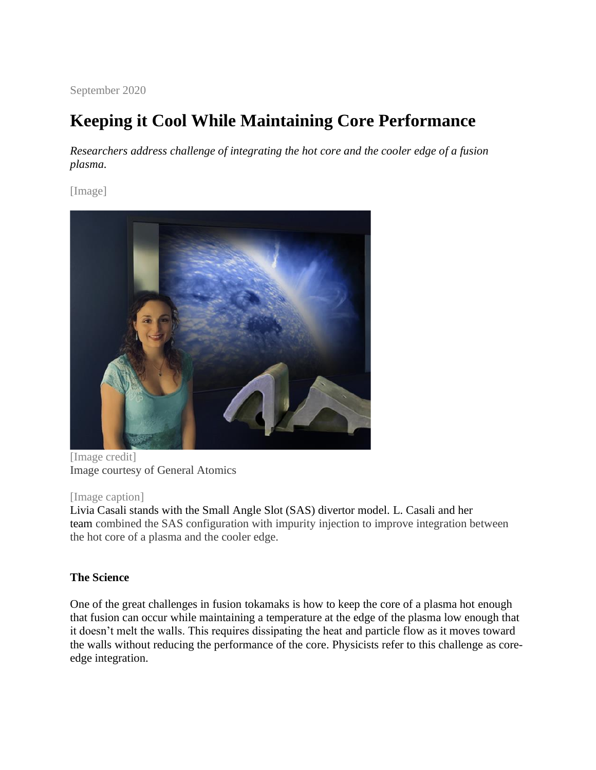September 2020

# **Keeping it Cool While Maintaining Core Performance**

*Researchers address challenge of integrating the hot core and the cooler edge of a fusion plasma.*

[Image]



[Image credit] Image courtesy of General Atomics

### [Image caption]

Livia Casali stands with the Small Angle Slot (SAS) divertor model. L. Casali and her team combined the SAS configuration with impurity injection to improve integration between the hot core of a plasma and the cooler edge.

# **The Science**

One of the great challenges in fusion tokamaks is how to keep the core of a plasma hot enough that fusion can occur while maintaining a temperature at the edge of the plasma low enough that it doesn't melt the walls. This requires dissipating the heat and particle flow as it moves toward the walls without reducing the performance of the core. Physicists refer to this challenge as coreedge integration.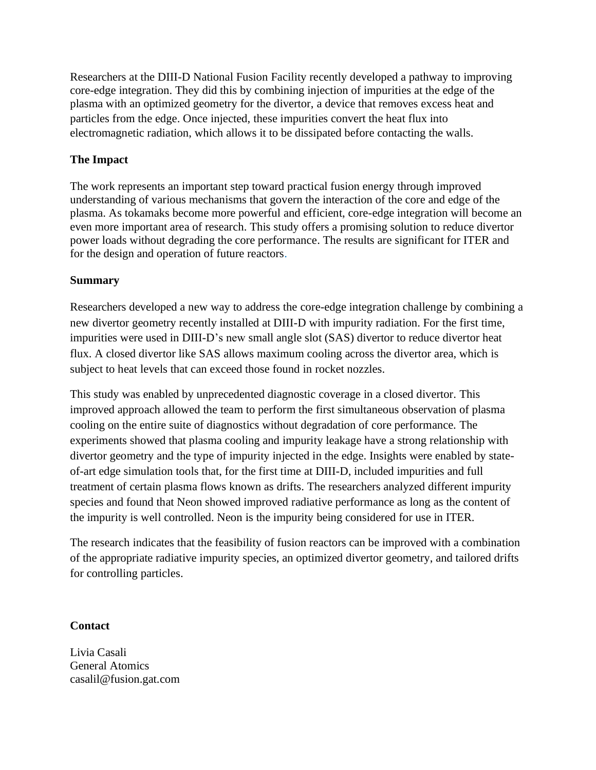Researchers at the DIII-D National Fusion Facility recently developed a pathway to improving core-edge integration. They did this by combining injection of impurities at the edge of the plasma with an optimized geometry for the divertor, a device that removes excess heat and particles from the edge. Once injected, these impurities convert the heat flux into electromagnetic radiation, which allows it to be dissipated before contacting the walls.

## **The Impact**

The work represents an important step toward practical fusion energy through improved understanding of various mechanisms that govern the interaction of the core and edge of the plasma. As tokamaks become more powerful and efficient, core-edge integration will become an even more important area of research. This study offers a promising solution to reduce divertor power loads without degrading the core performance. The results are significant for ITER and for the design and operation of future reactors.

### **Summary**

Researchers developed a new way to address the core-edge integration challenge by combining a new divertor geometry recently installed at DIII-D with impurity radiation. For the first time, impurities were used in DIII-D's new small angle slot (SAS) divertor to reduce divertor heat flux. A closed divertor like SAS allows maximum cooling across the divertor area, which is subject to heat levels that can exceed those found in rocket nozzles.

This study was enabled by unprecedented diagnostic coverage in a closed divertor. This improved approach allowed the team to perform the first simultaneous observation of plasma cooling on the entire suite of diagnostics without degradation of core performance. The experiments showed that plasma cooling and impurity leakage have a strong relationship with divertor geometry and the type of impurity injected in the edge. Insights were enabled by stateof-art edge simulation tools that, for the first time at DIII-D, included impurities and full treatment of certain plasma flows known as drifts. The researchers analyzed different impurity species and found that Neon showed improved radiative performance as long as the content of the impurity is well controlled. Neon is the impurity being considered for use in ITER.

The research indicates that the feasibility of fusion reactors can be improved with a combination of the appropriate radiative impurity species, an optimized divertor geometry, and tailored drifts for controlling particles.

### **Contact**

Livia Casali General Atomics casalil@fusion.gat.com